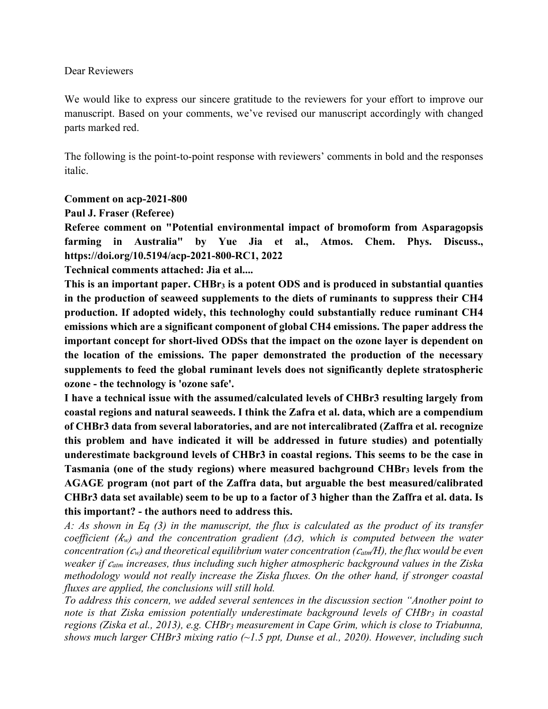#### Dear Reviewers

We would like to express our sincere gratitude to the reviewers for your effort to improve our manuscript. Based on your comments, we've revised our manuscript accordingly with changed parts marked red.

The following is the point-to-point response with reviewers' comments in bold and the responses italic.

### **Comment on acp-2021-800**

### **Paul J. Fraser (Referee)**

**Referee comment on "Potential environmental impact of bromoform from Asparagopsis farming in Australia" by Yue Jia et al., Atmos. Chem. Phys. Discuss., https://doi.org/10.5194/acp-2021-800-RC1, 2022**

**Technical comments attached: Jia et al....**

**This is an important paper. CHBr3 is a potent ODS and is produced in substantial quanties in the production of seaweed supplements to the diets of ruminants to suppress their CH4 production. If adopted widely, this technologhy could substantially reduce ruminant CH4 emissions which are a significant component of global CH4 emissions. The paper address the important concept for short-lived ODSs that the impact on the ozone layer is dependent on the location of the emissions. The paper demonstrated the production of the necessary supplements to feed the global ruminant levels does not significantly deplete stratospheric ozone - the technology is 'ozone safe'.** 

**I have a technical issue with the assumed/calculated levels of CHBr3 resulting largely from coastal regions and natural seaweeds. I think the Zafra et al. data, which are a compendium of CHBr3 data from several laboratories, and are not intercalibrated (Zaffra et al. recognize this problem and have indicated it will be addressed in future studies) and potentially underestimate background levels of CHBr3 in coastal regions. This seems to be the case in Tasmania (one of the study regions) where measured bachground CHBr3 levels from the AGAGE program (not part of the Zaffra data, but arguable the best measured/calibrated CHBr3 data set available) seem to be up to a factor of 3 higher than the Zaffra et al. data. Is this important? - the authors need to address this.**

*A: As shown in Eq (3) in the manuscript, the flux is calculated as the product of its transfer coefficient (w) and the concentration gradient (Δ), which is computed between the water concentration (w) and theoretical equilibrium water concentration (atm⁄H), the flux would be even weaker if atm increases, thus including such higher atmospheric background values in the Ziska methodology would not really increase the Ziska fluxes. On the other hand, if stronger coastal fluxes are applied, the conclusions will still hold.*

*To address this concern, we added several sentences in the discussion section "Another point to note is that Ziska emission potentially underestimate background levels of CHBr3 in coastal regions (Ziska et al., 2013), e.g. CHBr3 measurement in Cape Grim, which is close to Triabunna, shows much larger CHBr3 mixing ratio (~1.5 ppt, Dunse et al., 2020). However, including such*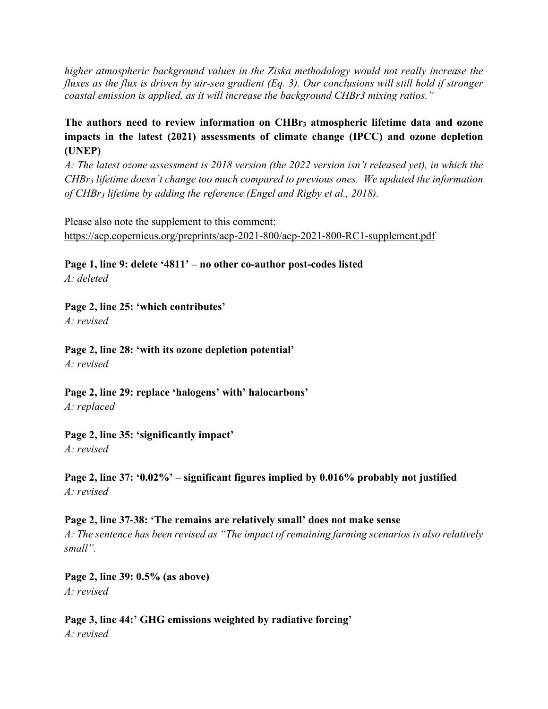*higher atmospheric background values in the Ziska methodology would not really increase the fluxes as the flux is driven by air-sea gradient (Eq. 3). Our conclusions will still hold if stronger coastal emission is applied, as it will increase the background CHBr3 mixing ratios."*

# **The authors need to review information on CHBr3 atmospheric lifetime data and ozone impacts in the latest (2021) assessments of climate change (IPCC) and ozone depletion (UNEP)**

*A: The latest ozone assessment is 2018 version (the 2022 version isn't released yet), in which the CHBr3 lifetime doesn't change too much compared to previous ones. We updated the information of CHBr3 lifetime by adding the reference (Engel and Rigby et al., 2018).*

Please also note the supplement to this comment: https://acp.copernicus.org/preprints/acp-2021-800/acp-2021-800-RC1-supplement.pdf

**Page 1, line 9: delete '4811' – no other co-author post-codes listed** *A: deleted*

### **Page 2, line 25: 'which contributes'**

*A: revised*

**Page 2, line 28: 'with its ozone depletion potential'** *A: revised*

**Page 2, line 29: replace 'halogens' with' halocarbons'**

*A: replaced*

**Page 2, line 35: 'significantly impact'** *A: revised*

# **Page 2, line 37: '0.02%' – significant figures implied by 0.016% probably not justified** *A: revised*

# **Page 2, line 37-38: 'The remains are relatively small' does not make sense**

*A: The sentence has been revised as "The impact of remaining farming scenarios is also relatively small".*

**Page 2, line 39: 0.5% (as above)** *A: revised*

**Page 3, line 44:' GHG emissions weighted by radiative forcing'** *A: revised*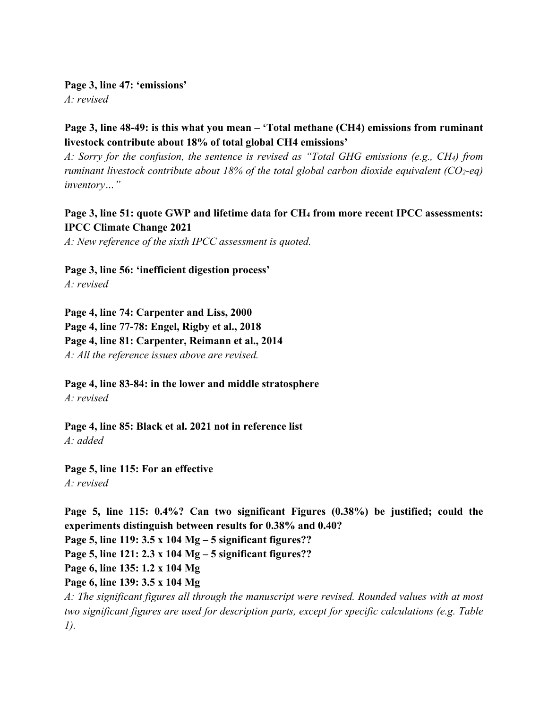**Page 3, line 47: 'emissions'** *A: revised*

**Page 3, line 48-49: is this what you mean – 'Total methane (CH4) emissions from ruminant livestock contribute about 18% of total global CH4 emissions'**

*A: Sorry for the confusion, the sentence is revised as "Total GHG emissions (e.g., CH4) from ruminant livestock contribute about 18% of the total global carbon dioxide equivalent (CO2-eq) inventory…"*

## Page 3, line 51: quote GWP and lifetime data for CH<sub>4</sub> from more recent IPCC assessments: **IPCC Climate Change 2021**

*A: New reference of the sixth IPCC assessment is quoted.*

**Page 3, line 56: 'inefficient digestion process'** *A: revised*

**Page 4, line 74: Carpenter and Liss, 2000 Page 4, line 77-78: Engel, Rigby et al., 2018 Page 4, line 81: Carpenter, Reimann et al., 2014** *A: All the reference issues above are revised.*

**Page 4, line 83-84: in the lower and middle stratosphere** *A: revised* 

**Page 4, line 85: Black et al. 2021 not in reference list** *A: added*

**Page 5, line 115: For an effective** *A: revised*

**Page 5, line 115: 0.4%? Can two significant Figures (0.38%) be justified; could the experiments distinguish between results for 0.38% and 0.40? Page 5, line 119: 3.5 x 104 Mg – 5 significant figures?? Page 5, line 121: 2.3 x 104 Mg – 5 significant figures?? Page 6, line 135: 1.2 x 104 Mg Page 6, line 139: 3.5 x 104 Mg** *A: The significant figures all through the manuscript were revised. Rounded values with at most two significant figures are used for description parts, except for specific calculations (e.g. Table 1).*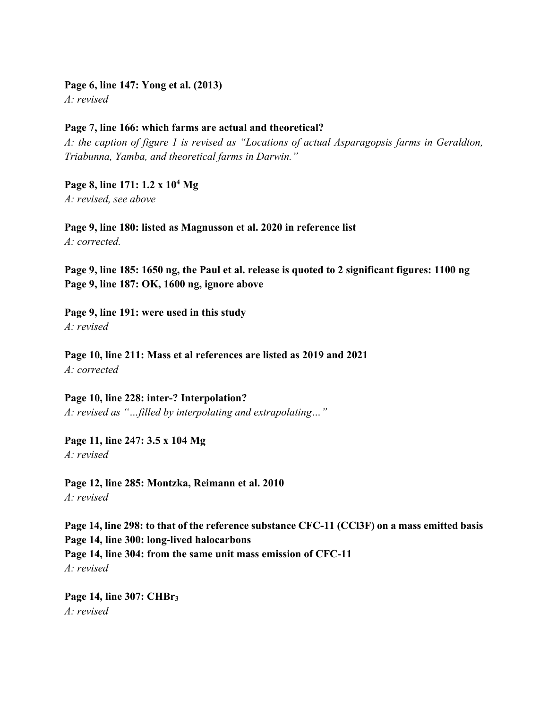**Page 6, line 147: Yong et al. (2013)** *A: revised*

### **Page 7, line 166: which farms are actual and theoretical?**

*A: the caption of figure 1 is revised as "Locations of actual Asparagopsis farms in Geraldton, Triabunna, Yamba, and theoretical farms in Darwin."*

**Page 8, line 171: 1.2 x 104 Mg** *A: revised, see above*

**Page 9, line 180: listed as Magnusson et al. 2020 in reference list** *A: corrected.*

**Page 9, line 185: 1650 ng, the Paul et al. release is quoted to 2 significant figures: 1100 ng Page 9, line 187: OK, 1600 ng, ignore above**

**Page 9, line 191: were used in this study** *A: revised*

**Page 10, line 211: Mass et al references are listed as 2019 and 2021** *A: corrected*

**Page 10, line 228: inter-? Interpolation?** *A: revised as "…filled by interpolating and extrapolating…"*

**Page 11, line 247: 3.5 x 104 Mg** *A: revised*

**Page 12, line 285: Montzka, Reimann et al. 2010** *A: revised*

**Page 14, line 298: to that of the reference substance CFC-11 (CCl3F) on a mass emitted basis Page 14, line 300: long-lived halocarbons Page 14, line 304: from the same unit mass emission of CFC-11** *A: revised*

**Page 14, line 307: CHBr3** *A: revised*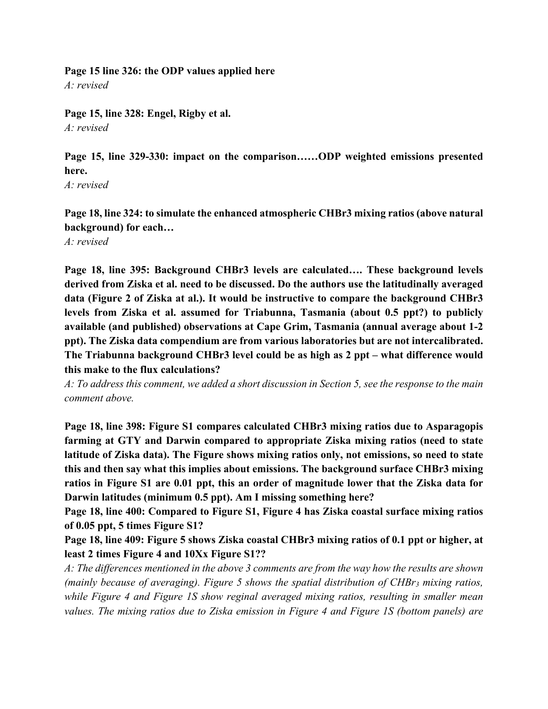**Page 15 line 326: the ODP values applied here** *A: revised*

**Page 15, line 328: Engel, Rigby et al.** *A: revised*

**Page 15, line 329-330: impact on the comparison……ODP weighted emissions presented here.**

*A: revised*

**Page 18, line 324: to simulate the enhanced atmospheric CHBr3 mixing ratios (above natural background) for each…**

*A: revised*

**Page 18, line 395: Background CHBr3 levels are calculated…. These background levels derived from Ziska et al. need to be discussed. Do the authors use the latitudinally averaged data (Figure 2 of Ziska at al.). It would be instructive to compare the background CHBr3 levels from Ziska et al. assumed for Triabunna, Tasmania (about 0.5 ppt?) to publicly available (and published) observations at Cape Grim, Tasmania (annual average about 1-2 ppt). The Ziska data compendium are from various laboratories but are not intercalibrated. The Triabunna background CHBr3 level could be as high as 2 ppt – what difference would this make to the flux calculations?**

*A: To address this comment, we added a short discussion in Section 5, see the response to the main comment above.*

**Page 18, line 398: Figure S1 compares calculated CHBr3 mixing ratios due to Asparagopis farming at GTY and Darwin compared to appropriate Ziska mixing ratios (need to state latitude of Ziska data). The Figure shows mixing ratios only, not emissions, so need to state this and then say what this implies about emissions. The background surface CHBr3 mixing ratios in Figure S1 are 0.01 ppt, this an order of magnitude lower that the Ziska data for Darwin latitudes (minimum 0.5 ppt). Am I missing something here?**

**Page 18, line 400: Compared to Figure S1, Figure 4 has Ziska coastal surface mixing ratios of 0.05 ppt, 5 times Figure S1?**

**Page 18, line 409: Figure 5 shows Ziska coastal CHBr3 mixing ratios of 0.1 ppt or higher, at least 2 times Figure 4 and 10Xx Figure S1??**

*A: The differences mentioned in the above 3 comments are from the way how the results are shown (mainly because of averaging). Figure 5 shows the spatial distribution of CHBr3 mixing ratios, while Figure 4 and Figure 1S show reginal averaged mixing ratios, resulting in smaller mean values. The mixing ratios due to Ziska emission in Figure 4 and Figure 1S (bottom panels) are*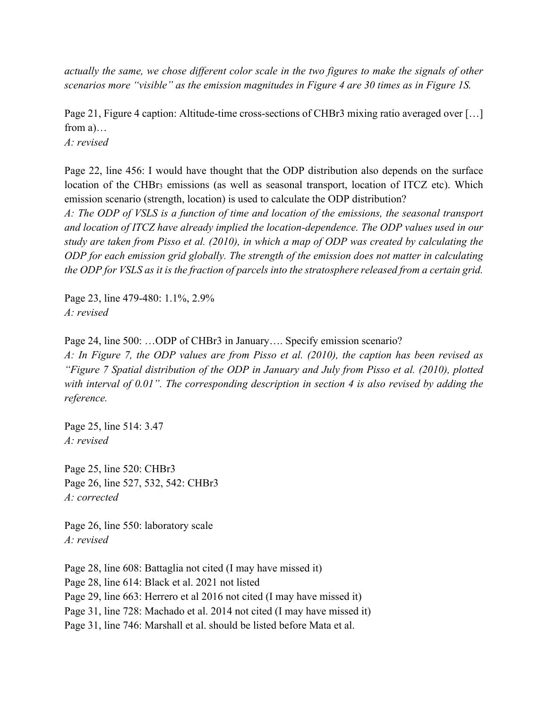*actually the same, we chose different color scale in the two figures to make the signals of other scenarios more "visible" as the emission magnitudes in Figure 4 are 30 times as in Figure 1S.*

Page 21, Figure 4 caption: Altitude-time cross-sections of CHBr3 mixing ratio averaged over […] from a)…

*A: revised*

Page 22, line 456: I would have thought that the ODP distribution also depends on the surface location of the CHBr<sub>3</sub> emissions (as well as seasonal transport, location of ITCZ etc). Which emission scenario (strength, location) is used to calculate the ODP distribution?

*A: The ODP of VSLS is a function of time and location of the emissions, the seasonal transport and location of ITCZ have already implied the location-dependence. The ODP values used in our study are taken from Pisso et al. (2010), in which a map of ODP was created by calculating the ODP for each emission grid globally. The strength of the emission does not matter in calculating the ODP for VSLS as it is the fraction of parcels into the stratosphere released from a certain grid.*

Page 23, line 479-480: 1.1%, 2.9% *A: revised*

Page 24, line 500: …ODP of CHBr3 in January…. Specify emission scenario?

*A: In Figure 7, the ODP values are from Pisso et al. (2010), the caption has been revised as "Figure 7 Spatial distribution of the ODP in January and July from Pisso et al. (2010), plotted with interval of 0.01". The corresponding description in section 4 is also revised by adding the reference.*

Page 25, line 514: 3.47 *A: revised*

Page 25, line 520: CHBr3 Page 26, line 527, 532, 542: CHBr3 *A: corrected*

Page 26, line 550: laboratory scale *A: revised*

Page 28, line 608: Battaglia not cited (I may have missed it) Page 28, line 614: Black et al. 2021 not listed Page 29, line 663: Herrero et al 2016 not cited (I may have missed it) Page 31, line 728: Machado et al. 2014 not cited (I may have missed it) Page 31, line 746: Marshall et al. should be listed before Mata et al.